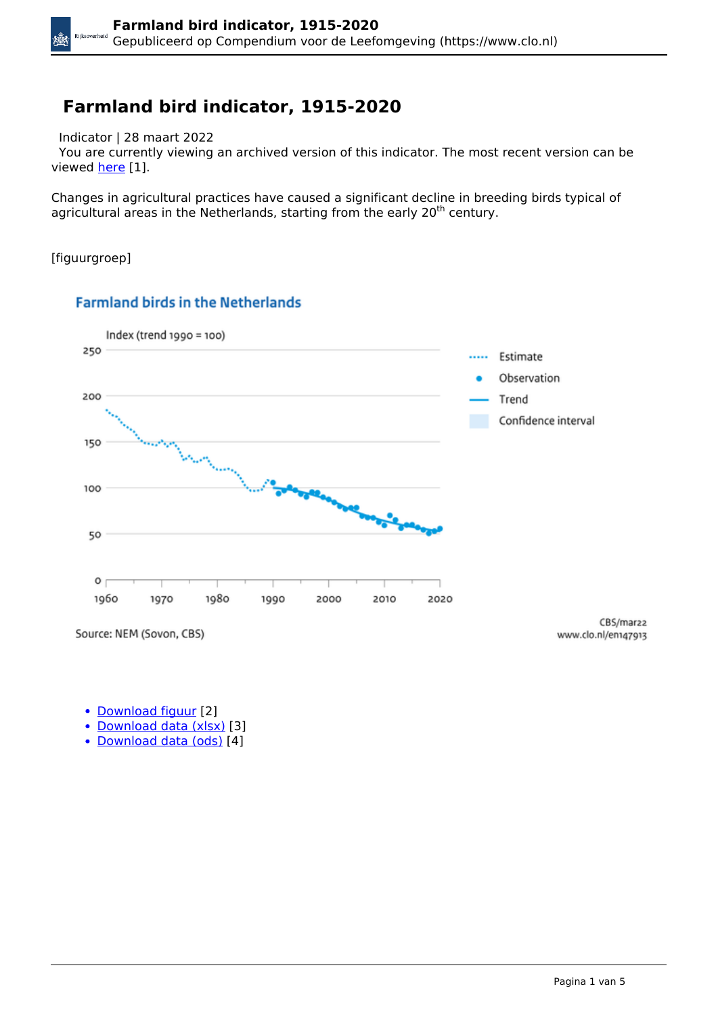## **Farmland bird indicator, 1915-2020**

Indicator | 28 maart 2022

 You are currently viewing an archived version of this indicator. The most recent version can be viewed [here](https://www.clo.nl/en/indicatoren/en1479) [1].

Changes in agricultural practices have caused a significant decline in breeding birds typical of agricultural areas in the Netherlands, starting from the early 20<sup>th</sup> century.

[figuurgroep]

Xů



#### **Farmland birds in the Netherlands**

Source: NEM (Sovon, CBS)

CBS/mar22 www.clo.nl/en147913

- [Download figuur](https://www.clo.nl/sites/default/files/infographics/1479_002g_clo_13_en.png) [2]
- [Download data \(xlsx\)](https://www.clo.nl/sites/default/files/datasets/c-1479-002g-clo-13-en.xlsx) [3]
- [Download data \(ods\)](https://www.clo.nl/sites/default/files/datasets/c-1479-002g-clo-13-en.ods) [4]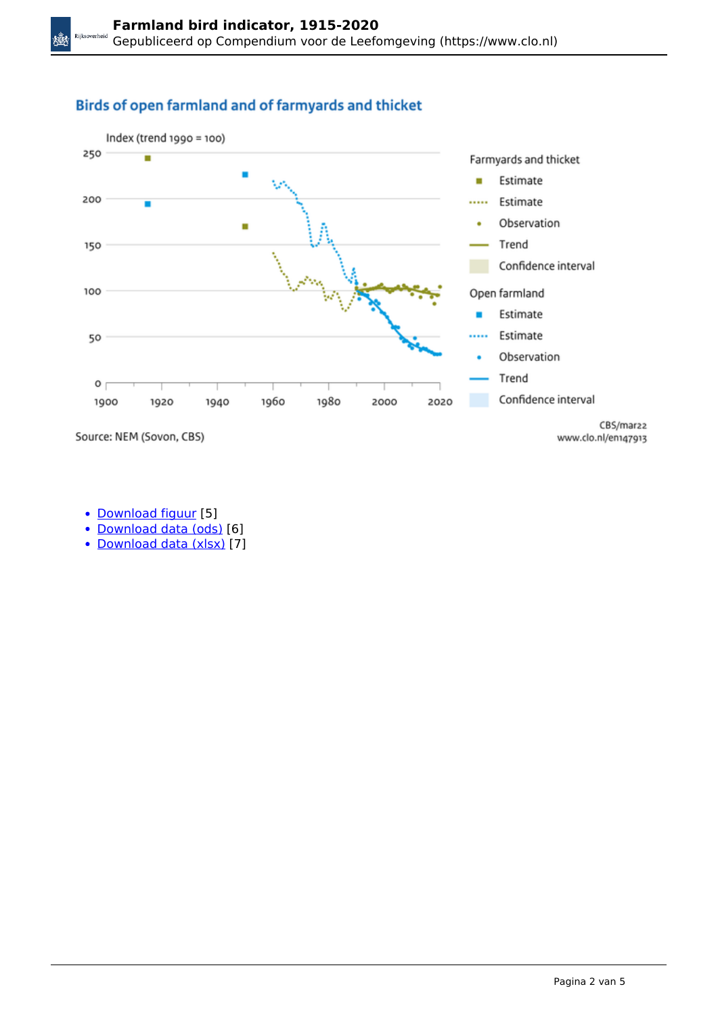#### Birds of open farmland and of farmyards and thicket



Source: NEM (Sovon, CBS)

兤

- [Download figuur](https://www.clo.nl/sites/default/files/infographics/1479_005g_clo_13_en.png) [5]
- [Download data \(ods\)](https://www.clo.nl/sites/default/files/datasets/c-1479-005g-clo-13-en.ods) [6]
- [Download data \(xlsx\)](https://www.clo.nl/sites/default/files/datasets/c-1479-005g-clo-13-en.xlsx) [7]

www.clo.nl/en147913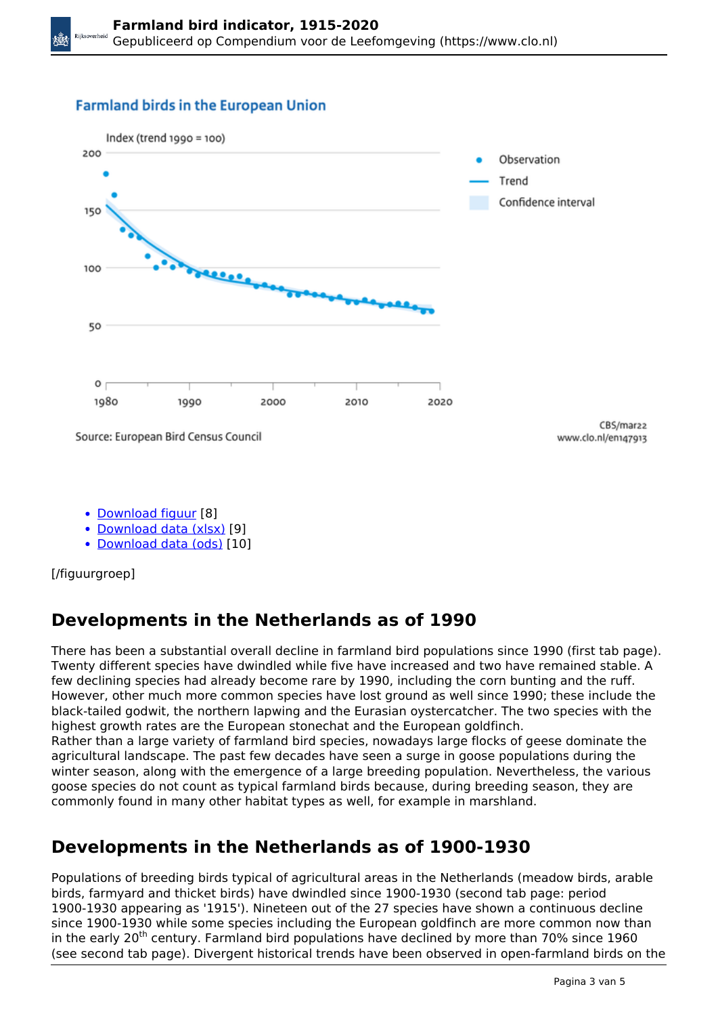#### **Farmland birds in the European Union**



- [Download figuur](https://www.clo.nl/sites/default/files/infographics/1479_004g_clo_13_en.png) [8]
- [Download data \(xlsx\)](https://www.clo.nl/sites/default/files/datasets/c-1479-004g-clo-13-en.xlsx) [9]
- [Download data \(ods\)](https://www.clo.nl/sites/default/files/datasets/c-1479-004g-clo-13-en.ods) [10]

[/figuurgroep]

# **Developments in the Netherlands as of 1990**

There has been a substantial overall decline in farmland bird populations since 1990 (first tab page). Twenty different species have dwindled while five have increased and two have remained stable. A few declining species had already become rare by 1990, including the corn bunting and the ruff. However, other much more common species have lost ground as well since 1990; these include the black-tailed godwit, the northern lapwing and the Eurasian oystercatcher. The two species with the highest growth rates are the European stonechat and the European goldfinch.

Rather than a large variety of farmland bird species, nowadays large flocks of geese dominate the agricultural landscape. The past few decades have seen a surge in goose populations during the winter season, along with the emergence of a large breeding population. Nevertheless, the various goose species do not count as typical farmland birds because, during breeding season, they are commonly found in many other habitat types as well, for example in marshland.

# **Developments in the Netherlands as of 1900-1930**

Populations of breeding birds typical of agricultural areas in the Netherlands (meadow birds, arable birds, farmyard and thicket birds) have dwindled since 1900-1930 (second tab page: period 1900-1930 appearing as '1915'). Nineteen out of the 27 species have shown a continuous decline since 1900-1930 while some species including the European goldfinch are more common now than in the early 20<sup>th</sup> century. Farmland bird populations have declined by more than 70% since 1960 (see second tab page). Divergent historical trends have been observed in open-farmland birds on the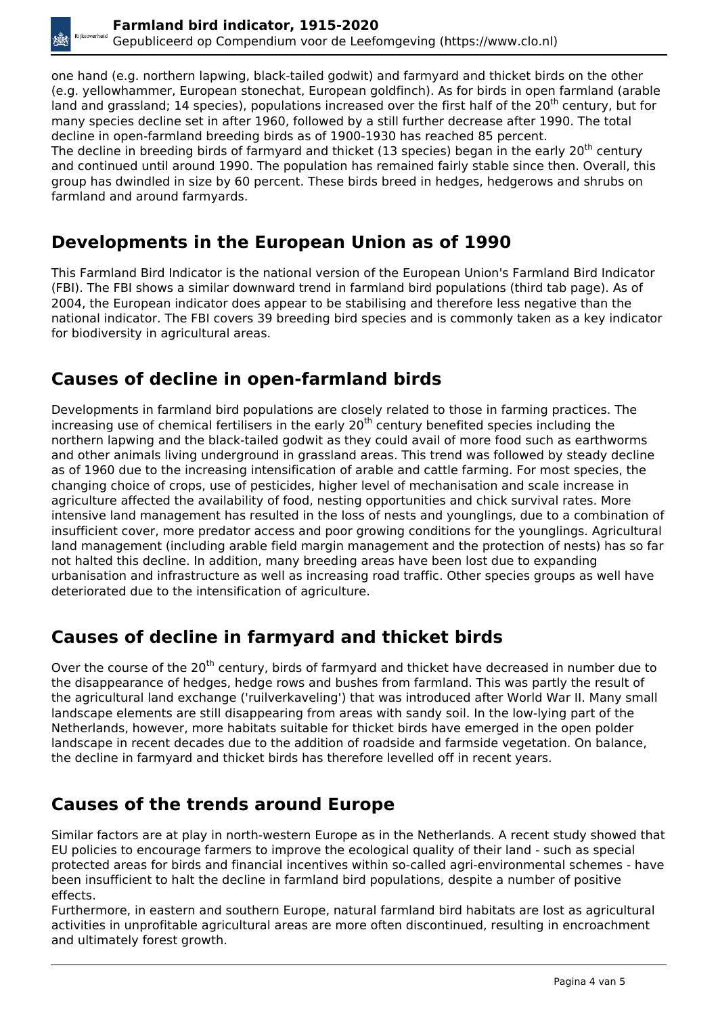one hand (e.g. northern lapwing, black-tailed godwit) and farmyard and thicket birds on the other (e.g. yellowhammer, European stonechat, European goldfinch). As for birds in open farmland (arable land and grassland; 14 species), populations increased over the first half of the 20<sup>th</sup> century, but for many species decline set in after 1960, followed by a still further decrease after 1990. The total decline in open-farmland breeding birds as of 1900-1930 has reached 85 percent. The decline in breeding birds of farmyard and thicket (13 species) began in the early 20<sup>th</sup> century and continued until around 1990. The population has remained fairly stable since then. Overall, this group has dwindled in size by 60 percent. These birds breed in hedges, hedgerows and shrubs on farmland and around farmyards.

#### **Developments in the European Union as of 1990**

This Farmland Bird Indicator is the national version of the European Union's Farmland Bird Indicator (FBI). The FBI shows a similar downward trend in farmland bird populations (third tab page). As of 2004, the European indicator does appear to be stabilising and therefore less negative than the national indicator. The FBI covers 39 breeding bird species and is commonly taken as a key indicator for biodiversity in agricultural areas.

## **Causes of decline in open-farmland birds**

Developments in farmland bird populations are closely related to those in farming practices. The increasing use of chemical fertilisers in the early 20<sup>th</sup> century benefited species including the northern lapwing and the black-tailed godwit as they could avail of more food such as earthworms and other animals living underground in grassland areas. This trend was followed by steady decline as of 1960 due to the increasing intensification of arable and cattle farming. For most species, the changing choice of crops, use of pesticides, higher level of mechanisation and scale increase in agriculture affected the availability of food, nesting opportunities and chick survival rates. More intensive land management has resulted in the loss of nests and younglings, due to a combination of insufficient cover, more predator access and poor growing conditions for the younglings. Agricultural land management (including arable field margin management and the protection of nests) has so far not halted this decline. In addition, many breeding areas have been lost due to expanding urbanisation and infrastructure as well as increasing road traffic. Other species groups as well have deteriorated due to the intensification of agriculture.

## **Causes of decline in farmyard and thicket birds**

Over the course of the 20<sup>th</sup> century, birds of farmyard and thicket have decreased in number due to the disappearance of hedges, hedge rows and bushes from farmland. This was partly the result of the agricultural land exchange ('ruilverkaveling') that was introduced after World War II. Many small landscape elements are still disappearing from areas with sandy soil. In the low-lying part of the Netherlands, however, more habitats suitable for thicket birds have emerged in the open polder landscape in recent decades due to the addition of roadside and farmside vegetation. On balance, the decline in farmyard and thicket birds has therefore levelled off in recent years.

# **Causes of the trends around Europe**

Similar factors are at play in north-western Europe as in the Netherlands. A recent study showed that EU policies to encourage farmers to improve the ecological quality of their land - such as special protected areas for birds and financial incentives within so-called agri-environmental schemes - have been insufficient to halt the decline in farmland bird populations, despite a number of positive effects.

Furthermore, in eastern and southern Europe, natural farmland bird habitats are lost as agricultural activities in unprofitable agricultural areas are more often discontinued, resulting in encroachment and ultimately forest growth.